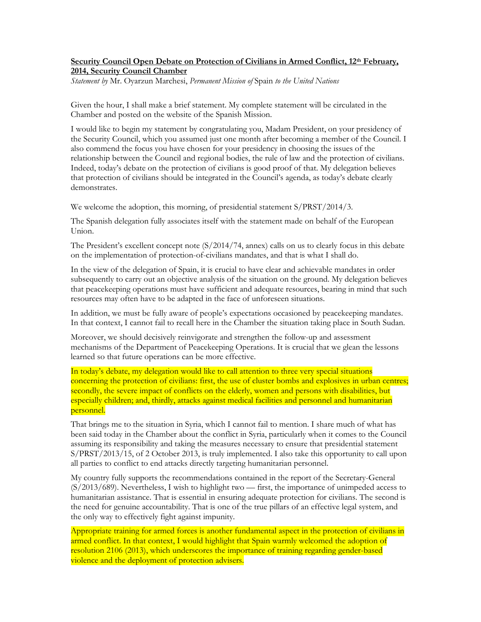## **Security Council Open Debate on Protection of Civilians in Armed Conflict, 12th February, 2014, Security Council Chamber**

*Statement by* Mr. Oyarzun Marchesi, *Permanent Mission of* Spain *to the United Nations*

Given the hour, I shall make a brief statement. My complete statement will be circulated in the Chamber and posted on the website of the Spanish Mission.

I would like to begin my statement by congratulating you, Madam President, on your presidency of the Security Council, which you assumed just one month after becoming a member of the Council. I also commend the focus you have chosen for your presidency in choosing the issues of the relationship between the Council and regional bodies, the rule of law and the protection of civilians. Indeed, today's debate on the protection of civilians is good proof of that. My delegation believes that protection of civilians should be integrated in the Council's agenda, as today's debate clearly demonstrates.

We welcome the adoption, this morning, of presidential statement S/PRST/2014/3.

The Spanish delegation fully associates itself with the statement made on behalf of the European Union.

The President's excellent concept note (S/2014/74, annex) calls on us to clearly focus in this debate on the implementation of protection-of-civilians mandates, and that is what I shall do.

In the view of the delegation of Spain, it is crucial to have clear and achievable mandates in order subsequently to carry out an objective analysis of the situation on the ground. My delegation believes that peacekeeping operations must have sufficient and adequate resources, bearing in mind that such resources may often have to be adapted in the face of unforeseen situations.

In addition, we must be fully aware of people's expectations occasioned by peacekeeping mandates. In that context, I cannot fail to recall here in the Chamber the situation taking place in South Sudan.

Moreover, we should decisively reinvigorate and strengthen the follow-up and assessment mechanisms of the Department of Peacekeeping Operations. It is crucial that we glean the lessons learned so that future operations can be more effective.

In today's debate, my delegation would like to call attention to three very special situations concerning the protection of civilians: first, the use of cluster bombs and explosives in urban centres; secondly, the severe impact of conflicts on the elderly, women and persons with disabilities, but especially children; and, thirdly, attacks against medical facilities and personnel and humanitarian personnel.

That brings me to the situation in Syria, which I cannot fail to mention. I share much of what has been said today in the Chamber about the conflict in Syria, particularly when it comes to the Council assuming its responsibility and taking the measures necessary to ensure that presidential statement S/PRST/2013/15, of 2 October 2013, is truly implemented. I also take this opportunity to call upon all parties to conflict to end attacks directly targeting humanitarian personnel.

My country fully supports the recommendations contained in the report of the Secretary-General (S/2013/689). Nevertheless, I wish to highlight two — first, the importance of unimpeded access to humanitarian assistance. That is essential in ensuring adequate protection for civilians. The second is the need for genuine accountability. That is one of the true pillars of an effective legal system, and the only way to effectively fight against impunity.

Appropriate training for armed forces is another fundamental aspect in the protection of civilians in armed conflict. In that context, I would highlight that Spain warmly welcomed the adoption of resolution 2106 (2013), which underscores the importance of training regarding gender-based violence and the deployment of protection advisers.